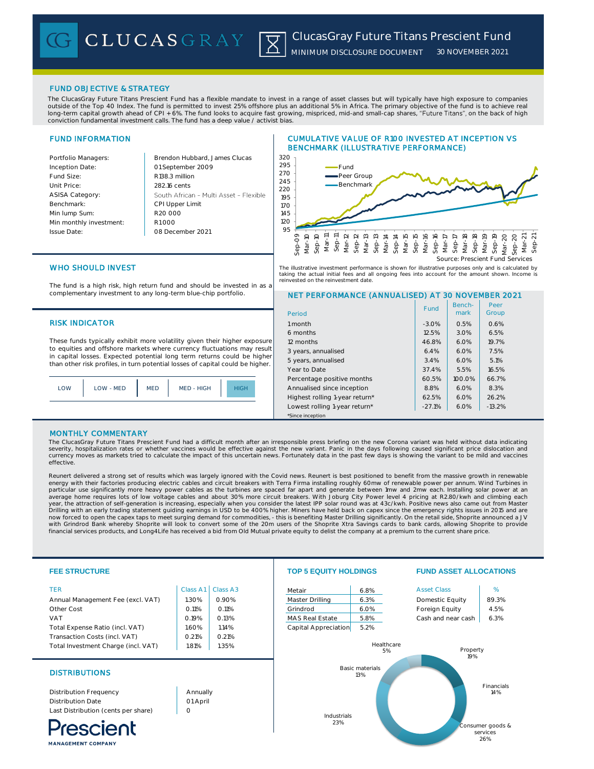**CLUCASGRAY** 

### FUND OBJECTIVE & STRATEGY

The ClucasGray Future Titans Prescient Fund has a flexible mandate to invest in a range of asset classes but will typically have high exposure to companies outside of the Top 40 Index. The fund is permitted to invest 25% offshore plus an additional 5% in Africa. The primary objective of the fund is to achieve real long-term capital growth ahead of CPI + 6%. The fund looks to acquire fast growing, mispriced, mid-and small-cap shares, "**Future Titans**", on the back of high<br>conviction fundamental investment calls. The fund has a deep v

区

# FUND INFORMATION

| Brendon Hubbard, J         |
|----------------------------|
| 01 September 2009          |
| R <sub>138.3</sub> million |
| 282.16 cents               |
| South African - Mult       |
| CPI Upper Limit            |
| R20,000                    |
| R1000                      |
| 08 December 2021           |
|                            |

# **Pames Clucas** ti Asset - Flexible

# CUMULATIVE VALUE OF R100 INVESTED AT INCEPTION VS BENCHMARK (ILLUSTRATIVE PERFORMANCE)



The illustrative investment performance is shown for illustrative purposes only and is calculated by taking the actual initial fees and all ongoing fees into account for the amount shown. Income is reinvested on the reinvestment date.

> Bench-Fund | Berien- | Teer<br>
> mark | Group

Pee

services 26%

NET PERFORMANCE (ANNUALISED) AT 30 NOVEMBER 2021

6 months 12.5% 3.0% 6.5% 12 months 12 months 19.7% 3 years, annualised 6.4% 6.0% 7.5% 5 years, annualised 3.4% 6.0% 5.1% Year to Date 37.4% 5.5% 16.5% Percentage positive months  $\begin{array}{|c|c|c|c|c|c|c|c|c|} \hline \end{array}$  66.7% Annualised since inception  $8.8\%$  6.0% 8.3% Highest rolling 1-year return\* 62.5% 6.0% 26.2% Lowest rolling 1-year return\*  $\vert$  -27.1% 6.0% -13.2%

# WHO SHOULD INVEST

The fund is a high risk, high return fund and should be invested in as a complementary investment to any long-term blue-chip portfolio.

### RISK INDICATOR 1 month 1 month 1 month 1 month 1 month 1 month 1 month 1 month 1 month 1 month 1 month 1 month

These funds typically exhibit more volatility given their higher exposure to equities and offshore markets where currency fluctuations may result in capital losses. Expected potential long term returns could be higher than other risk profiles, in turn potential losses of capital could be higher.



### MONTHLY COMMENTARY

**MANAGEMENT COMPANY** 

The ClucasGray Future Titans Prescient Fund had a difficult month after an irresponsible press briefing on the new Corona variant was held without data indicating<br>severity, hospitalization rates or whether vaccines would b currency moves as markets tried to calculate the impact of this uncertain news. Fortunately data in the past few days is showing the variant to be mild and vaccines effective.

\*Since inception

Period

Reunert delivered a strong set of results which was largely ignored with the Covid news. Reunert is best positioned to benefit from the massive growth in renewable energy with their factories producing electric cables and circuit breakers with Terra Firma installing roughly 60mw of renewable power per annum. Wind Turbines in<br>particular use significantly more heavy power cables as the year, the attraction of self-generation is increasing, especially when you consider the latest IPP solar round was at 43c/kwh. Positive news also came out from Master<br>Drilling with an early trading statement guiding earnin ,<br>The significantly. On the capex taps to meet surging demand for commodities, - this is benefiting Master Drilling significantly. On the retail side, Shoprite announced a JV with Grindrod Bank whereby Shoprite will look to convert some of the 20m users of the Shoprite Xtra Savings cards to bank cards, allowing Shoprite to provide<br>financial services products, and Long4Life has received a bid fr

| <b>FEE STRUCTURE</b>                |          |                    | <b>TOP 5 EQUITY HOLDINGS</b> |                               |                              | <b>FUND ASSET ALLOCATIONS</b> |  |
|-------------------------------------|----------|--------------------|------------------------------|-------------------------------|------------------------------|-------------------------------|--|
|                                     | Class A1 | Class A3           | Metair                       | 6.8%                          | <b>Asset Class</b>           | %                             |  |
| Annual Management Fee (excl. VAT)   | 1.30%    | 0.90%              | Master Drilling              | 6.3%                          | Domestic Equity              | 89.3%                         |  |
|                                     | 0.11%    | O.11%              | Grindrod                     | 6.0%                          | Foreign Equity               | 4.5%                          |  |
|                                     | 0.19%    | 0.13%              | <b>MAS Real Estate</b>       | 5.8%                          | Cash and near cash           | 6.3%                          |  |
| Total Expense Ratio (incl. VAT)     | 1.60%    | 1.14%              | Capital Appreciation         | 5.2%                          |                              |                               |  |
| Transaction Costs (incl. VAT)       | 0.21%    | 0.21%              |                              |                               |                              |                               |  |
| Total Investment Charge (incl. VAT) | 1.81%    | 1.35%              |                              | Healthcare                    | Property<br>19%              |                               |  |
| <b>DISTRIBUTIONS</b>                |          |                    |                              | <b>Basic materials</b><br>13% |                              |                               |  |
| Distribution Frequency              | Annually |                    |                              |                               |                              | Financials<br>14%             |  |
|                                     | 01 April |                    |                              |                               |                              |                               |  |
| Last Distribution (cents per share) | $\circ$  |                    |                              |                               |                              |                               |  |
| escient                             |          | Industrials<br>23% |                              |                               | Consumer goods &<br>services |                               |  |